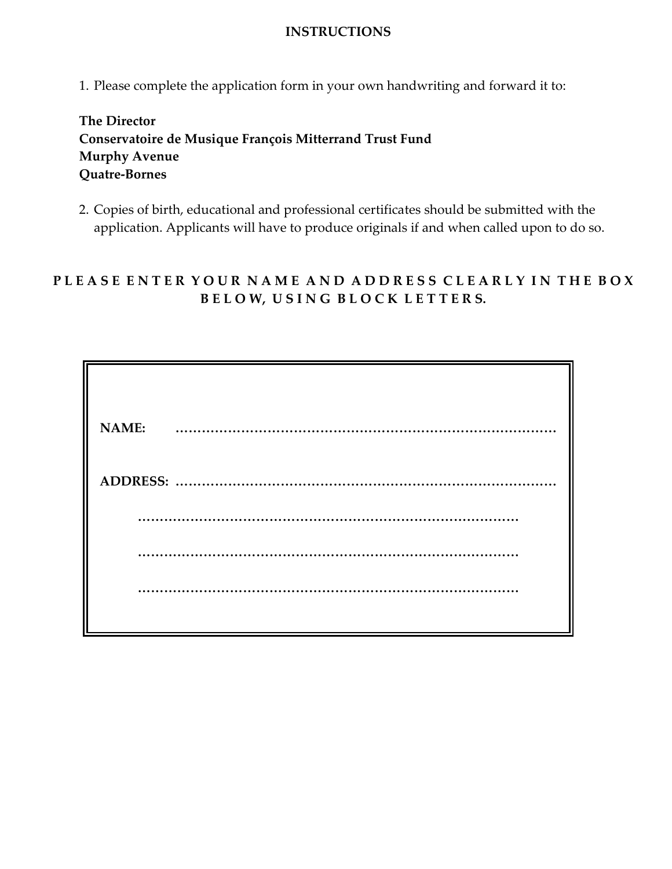## **INSTRUCTIONS**

1. Please complete the application form in your own handwriting and forward it to:

**The Director Conservatoire de Musique François Mitterrand Trust Fund Murphy Avenue Quatre-Bornes**

2. Copies of birth, educational and professional certificates should be submitted with the application. Applicants will have to produce originals if and when called upon to do so.

## PLEASE ENTER YOUR NAME AND ADDRESS CLEARLY IN THE BOX **B E L O W, U S I N G B L O C K L E T T E R S.**

| <b>NAME:</b> |  |
|--------------|--|
|              |  |
|              |  |
|              |  |
|              |  |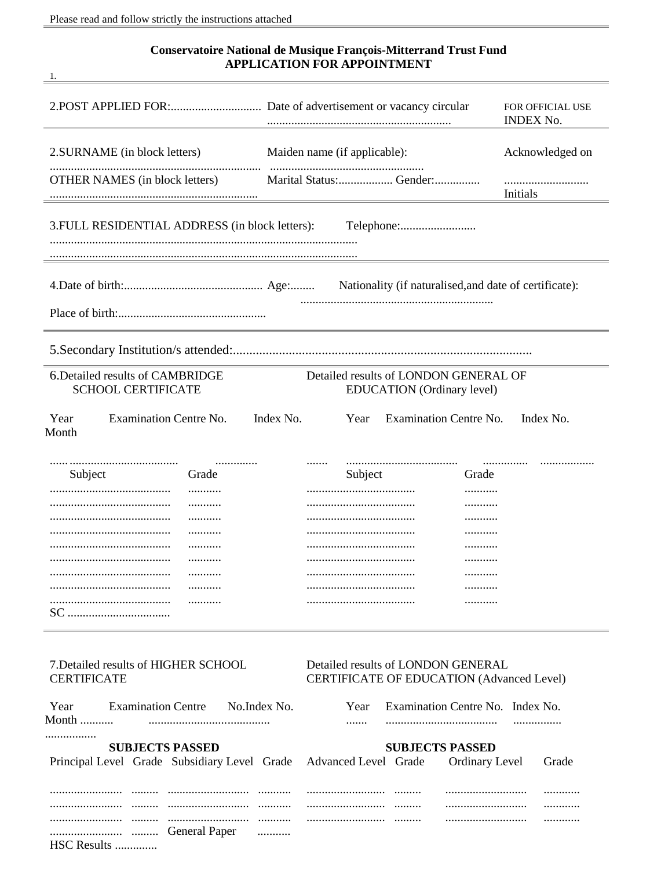$\frac{1}{\sqrt{1-\frac{1}{2}}}$ 

## **Conservatoire National de Musique François-Mitterrand Trust Fund<br>APPLICATION FOR APPOINTMENT**

|                                                                      | FOR OFFICIAL USE<br><b>INDEX No.</b>                                            |  |  |  |  |  |  |  |
|----------------------------------------------------------------------|---------------------------------------------------------------------------------|--|--|--|--|--|--|--|
| 2. SURNAME (in block letters)                                        | Acknowledged on<br>Maiden name (if applicable):                                 |  |  |  |  |  |  |  |
| <b>OTHER NAMES</b> (in block letters)                                | Marital Status: Gender:<br>Initials                                             |  |  |  |  |  |  |  |
| 3. FULL RESIDENTIAL ADDRESS (in block letters):                      |                                                                                 |  |  |  |  |  |  |  |
|                                                                      |                                                                                 |  |  |  |  |  |  |  |
|                                                                      |                                                                                 |  |  |  |  |  |  |  |
|                                                                      |                                                                                 |  |  |  |  |  |  |  |
| 6. Detailed results of CAMBRIDGE<br><b>SCHOOL CERTIFICATE</b>        | Detailed results of LONDON GENERAL OF<br>EDUCATION (Ordinary level)             |  |  |  |  |  |  |  |
| Year<br><b>Examination Centre No.</b><br>Index No.<br>Month          | <b>Examination Centre No.</b><br>Index No.<br>Year                              |  |  |  |  |  |  |  |
| <br>Grade<br>Subject                                                 | Subject<br>Grade                                                                |  |  |  |  |  |  |  |
|                                                                      | .                                                                               |  |  |  |  |  |  |  |
|                                                                      |                                                                                 |  |  |  |  |  |  |  |
|                                                                      |                                                                                 |  |  |  |  |  |  |  |
|                                                                      | .                                                                               |  |  |  |  |  |  |  |
| SC                                                                   |                                                                                 |  |  |  |  |  |  |  |
| 7. Detailed results of HIGHER SCHOOL<br><b>CERTIFICATE</b>           | Detailed results of LONDON GENERAL<br>CERTIFICATE OF EDUCATION (Advanced Level) |  |  |  |  |  |  |  |
| <b>Examination Centre</b><br>No. Index No.<br>Year<br>Month $\ldots$ | Examination Centre No. Index No.<br>Year                                        |  |  |  |  |  |  |  |
| .<br><b>SUBJECTS PASSED</b>                                          | <b>SUBJECTS PASSED</b>                                                          |  |  |  |  |  |  |  |
| Principal Level Grade Subsidiary Level Grade                         | Advanced Level Grade<br>Ordinary Level<br>Grade                                 |  |  |  |  |  |  |  |
| <br>                                                                 | .                                                                               |  |  |  |  |  |  |  |
| <br>General Paper                                                    |                                                                                 |  |  |  |  |  |  |  |
| HSC Results                                                          |                                                                                 |  |  |  |  |  |  |  |